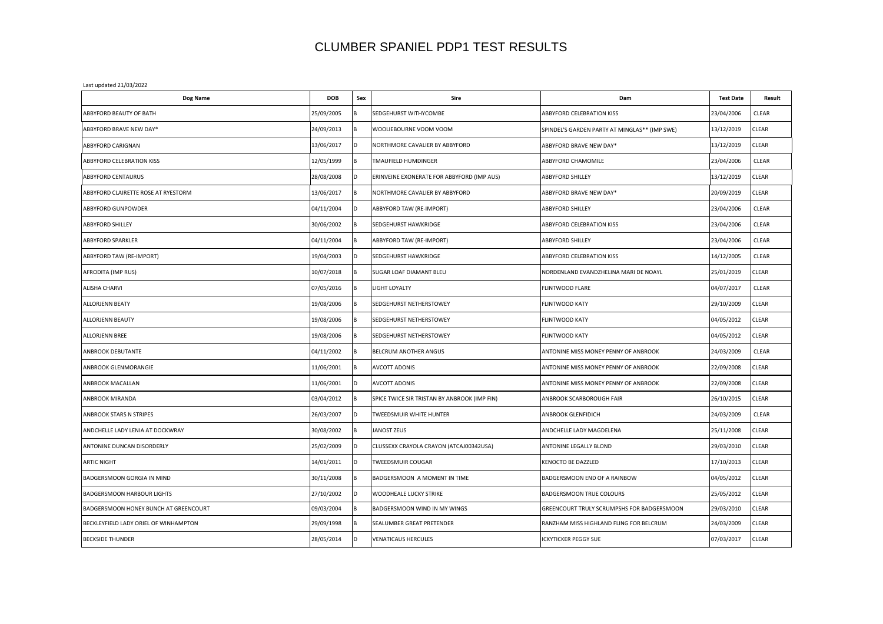Last updated 21/03/2022

| Dog Name                              | <b>DOB</b> | Sex | Sire                                         | Dam                                           | <b>Test Date</b> | Result       |
|---------------------------------------|------------|-----|----------------------------------------------|-----------------------------------------------|------------------|--------------|
| ABBYFORD BEAUTY OF BATH               | 25/09/2005 | B   | SEDGEHURST WITHYCOMBE                        | ABBYFORD CELEBRATION KISS                     | 23/04/2006       | <b>CLEAR</b> |
| ABBYFORD BRAVE NEW DAY*               | 24/09/2013 | B   | WOOLIEBOURNE VOOM VOOM                       | SPINDEL'S GARDEN PARTY AT MINGLAS** (IMP SWE) | 13/12/2019       | CLEAR        |
| ABBYFORD CARIGNAN                     | 13/06/2017 | D   | NORTHMORE CAVALIER BY ABBYFORD               | ABBYFORD BRAVE NEW DAY*                       | 13/12/2019       | <b>CLEAR</b> |
| ABBYFORD CELEBRATION KISS             | 12/05/1999 | B   | TMAUFIELD HUMDINGER                          | ABBYFORD CHAMOMILE                            | 23/04/2006       | CLEAR        |
| ABBYFORD CENTAURUS                    | 28/08/2008 | D   | ERINVEINE EXONERATE FOR ABBYFORD (IMP AUS)   | <b>ABBYFORD SHILLEY</b>                       | 13/12/2019       | CLEAR        |
| ABBYFORD CLAIRETTE ROSE AT RYESTORM   | 13/06/2017 | B   | NORTHMORE CAVALIER BY ABBYFORD               | ABBYFORD BRAVE NEW DAY*                       | 20/09/2019       | CLEAR        |
| <b>ABBYFORD GUNPOWDER</b>             | 04/11/2004 | D   | ABBYFORD TAW (RE-IMPORT)                     | <b>ABBYFORD SHILLEY</b>                       | 23/04/2006       | <b>CLEAR</b> |
| ABBYFORD SHILLEY                      | 30/06/2002 | B   | SEDGEHURST HAWKRIDGE                         | ABBYFORD CELEBRATION KISS                     | 23/04/2006       | CLEAR        |
| ABBYFORD SPARKLER                     | 04/11/2004 | B   | ABBYFORD TAW (RE-IMPORT)                     | <b>ABBYFORD SHILLEY</b>                       | 23/04/2006       | CLEAR        |
| ABBYFORD TAW (RE-IMPORT)              | 19/04/2003 | D   | SEDGEHURST HAWKRIDGE                         | ABBYFORD CELEBRATION KISS                     | 14/12/2005       | CLEAR        |
| AFRODITA (IMP RUS)                    | 10/07/2018 | B   | SUGAR LOAF DIAMANT BLEU                      | NORDENLAND EVANDZHELINA MARI DE NOAYL         | 25/01/2019       | CLEAR        |
| ALISHA CHARVI                         | 07/05/2016 | B   | LIGHT LOYALTY                                | <b>FLINTWOOD FLARE</b>                        | 04/07/2017       | <b>CLEAR</b> |
| ALLORJENN BEATY                       | 19/08/2006 | B   | SEDGEHURST NETHERSTOWEY                      | FLINTWOOD KATY                                | 29/10/2009       | <b>CLEAR</b> |
| ALLORJENN BEAUTY                      | 19/08/2006 | B   | SEDGEHURST NETHERSTOWEY                      | FLINTWOOD KATY                                | 04/05/2012       | CLEAR        |
| ALLORJENN BREE                        | 19/08/2006 | B   | SEDGEHURST NETHERSTOWEY                      | FLINTWOOD KATY                                | 04/05/2012       | CLEAR        |
| ANBROOK DEBUTANTE                     | 04/11/2002 | B   | BELCRUM ANOTHER ANGUS                        | ANTONINE MISS MONEY PENNY OF ANBROOK          | 24/03/2009       | <b>CLEAR</b> |
| ANBROOK GLENMORANGIE                  | 11/06/2001 | B   | AVCOTT ADONIS                                | ANTONINE MISS MONEY PENNY OF ANBROOK          | 22/09/2008       | <b>CLEAR</b> |
| ANBROOK MACALLAN                      | 11/06/2001 | D   | <b>AVCOTT ADONIS</b>                         | ANTONINE MISS MONEY PENNY OF ANBROOK          | 22/09/2008       | <b>CLEAR</b> |
| ANBROOK MIRANDA                       | 03/04/2012 | B   | SPICE TWICE SIR TRISTAN BY ANBROOK (IMP FIN) | ANBROOK SCARBOROUGH FAIR                      | 26/10/2015       | CLEAR        |
| ANBROOK STARS N STRIPES               | 26/03/2007 | D   | TWEEDSMUIR WHITE HUNTER                      | ANBROOK GLENFIDICH                            | 24/03/2009       | CLEAR        |
| ANDCHELLE LADY LENIA AT DOCKWRAY      | 30/08/2002 | B   | JANOST ZEUS                                  | ANDCHELLE LADY MAGDELENA                      | 25/11/2008       | CLEAR        |
| ANTONINE DUNCAN DISORDERLY            | 25/02/2009 | D   | CLUSSEXX CRAYOLA CRAYON (ATCAJ00342USA)      | ANTONINE LEGALLY BLOND                        | 29/03/2010       | CLEAR        |
| <b>ARTIC NIGHT</b>                    | 14/01/2011 | D   | <b>TWEEDSMUIR COUGAR</b>                     | KENOCTO BE DAZZLED                            | 17/10/2013       | <b>CLEAR</b> |
| BADGERSMOON GORGIA IN MIND            | 30/11/2008 | B   | BADGERSMOON A MOMENT IN TIME                 | BADGERSMOON END OF A RAINBOW                  | 04/05/2012       | CLEAR        |
| BADGERSMOON HARBOUR LIGHTS            | 27/10/2002 | D   | WOODHEALE LUCKY STRIKE                       | BADGERSMOON TRUE COLOURS                      | 25/05/2012       | CLEAR        |
| BADGERSMOON HONEY BUNCH AT GREENCOURT | 09/03/2004 | B   | BADGERSMOON WIND IN MY WINGS                 | GREENCOURT TRULY SCRUMPSHS FOR BADGERSMOON    | 29/03/2010       | CLEAR        |
| BECKLEYFIELD LADY ORIEL OF WINHAMPTON | 29/09/1998 | B   | SEALUMBER GREAT PRETENDER                    | RANZHAM MISS HIGHLAND FLING FOR BELCRUM       | 24/03/2009       | <b>CLEAR</b> |
| <b>BECKSIDE THUNDER</b>               | 28/05/2014 | D   | <b>VENATICAUS HERCULES</b>                   | <b>ICKYTICKER PEGGY SUE</b>                   | 07/03/2017       | CLEAR        |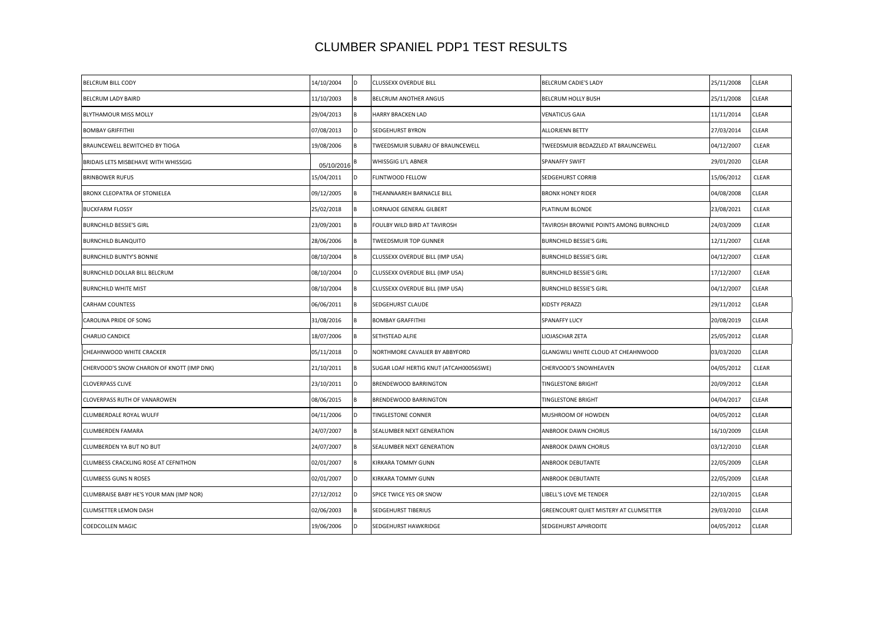| BELCRUM BILL CODY                         | 14/10/2004 | D | <b>CLUSSEXX OVERDUE BILL</b>           | BELCRUM CADIE'S LADY                    | 25/11/2008 | <b>CLEAR</b> |
|-------------------------------------------|------------|---|----------------------------------------|-----------------------------------------|------------|--------------|
| BELCRUM LADY BAIRD                        | 11/10/2003 |   | BELCRUM ANOTHER ANGUS                  | <b>BELCRUM HOLLY BUSH</b>               | 25/11/2008 | <b>CLEAR</b> |
| BLYTHAMOUR MISS MOLLY                     | 29/04/2013 |   | HARRY BRACKEN LAD                      | <b>VENATICUS GAIA</b>                   | 11/11/2014 | CLEAR        |
| <b>BOMBAY GRIFFITHII</b>                  | 07/08/2013 | D | SEDGEHURST BYRON                       | ALLORJENN BETTY                         | 27/03/2014 | CLEAR        |
| BRAUNCEWELL BEWITCHED BY TIOGA            | 19/08/2006 |   | TWEEDSMUIR SUBARU OF BRAUNCEWELL       | TWEEDSMUIR BEDAZZLED AT BRAUNCEWELL     | 04/12/2007 | CLEAR        |
| BRIDAIS LETS MISBEHAVE WITH WHISSGIG      | 05/10/2016 |   | WHISSGIG LI'L ABNER                    | SPANAFFY SWIFT                          | 29/01/2020 | CLEAR        |
| <b>BRINBOWER RUFUS</b>                    | 15/04/2011 | D | FLINTWOOD FELLOW                       | SEDGEHURST CORRIB                       | 15/06/2012 | CLEAR        |
| BRONX CLEOPATRA OF STONIELEA              | 09/12/2005 |   | THEANNAAREH BARNACLE BILL              | <b>BRONX HONEY RIDER</b>                | 04/08/2008 | CLEAR        |
| <b>BUCKFARM FLOSSY</b>                    | 25/02/2018 | B | LORNAJOE GENERAL GILBERT               | PLATINUM BLONDE                         | 23/08/2021 | CLEAR        |
| <b>BURNCHILD BESSIE'S GIRL</b>            | 23/09/2001 | B | FOULBY WILD BIRD AT TAVIROSH           | TAVIROSH BROWNIE POINTS AMONG BURNCHILD | 24/03/2009 | CLEAR        |
| <b>BURNCHILD BLANQUITO</b>                | 28/06/2006 | B | <b>TWEEDSMUIR TOP GUNNER</b>           | <b>BURNCHILD BESSIE'S GIRL</b>          | 12/11/2007 | CLEAR        |
| BURNCHILD BUNTY'S BONNIE                  | 08/10/2004 |   | CLUSSEXX OVERDUE BILL (IMP USA)        | <b>BURNCHILD BESSIE'S GIRL</b>          | 04/12/2007 | CLEAR        |
| BURNCHILD DOLLAR BILL BELCRUM             | 08/10/2004 | D | CLUSSEXX OVERDUE BILL (IMP USA)        | <b>BURNCHILD BESSIE'S GIRL</b>          | 17/12/2007 | CLEAR        |
| BURNCHILD WHITE MIST                      | 08/10/2004 | B | CLUSSEXX OVERDUE BILL (IMP USA)        | <b>BURNCHILD BESSIE'S GIRL</b>          | 04/12/2007 | CLEAR        |
| CARHAM COUNTESS                           | 06/06/2011 |   | SEDGEHURST CLAUDE                      | KIDSTY PERAZZI                          | 29/11/2012 | CLEAR        |
| CAROLINA PRIDE OF SONG                    | 31/08/2016 |   | <b>BOMBAY GRAFFITHII</b>               | <b>SPANAFFY LUCY</b>                    | 20/08/2019 | CLEAR        |
| CHARLIO CANDICE                           | 18/07/2006 | B | SETHSTEAD ALFIE                        | LIOJASCHAR ZETA                         | 25/05/2012 | CLEAR        |
| CHEAHNWOOD WHITE CRACKER                  | 05/11/2018 | D | NORTHMORE CAVALIER BY ABBYFORD         | GLANGWILI WHITE CLOUD AT CHEAHNWOOD     | 03/03/2020 | CLEAR        |
| CHERVOOD'S SNOW CHARON OF KNOTT (IMP DNK) | 21/10/2011 |   | SUGAR LOAF HERTIG KNUT (ATCAH00056SWE) | CHERVOOD'S SNOWHEAVEN                   | 04/05/2012 | CLEAR        |
| CLOVERPASS CLIVE                          | 23/10/2011 | D | BRENDEWOOD BARRINGTON                  | TINGLESTONE BRIGHT                      | 20/09/2012 | CLEAR        |
| CLOVERPASS RUTH OF VANAROWEN              | 08/06/2015 | B | BRENDEWOOD BARRINGTON                  | <b>TINGLESTONE BRIGHT</b>               | 04/04/2017 | CLEAR        |
| CLUMBERDALE ROYAL WULFF                   | 04/11/2006 | D | TINGLESTONE CONNER                     | MUSHROOM OF HOWDEN                      | 04/05/2012 | CLEAR        |
| CLUMBERDEN FAMARA                         | 24/07/2007 |   | SEALUMBER NEXT GENERATION              | ANBROOK DAWN CHORUS                     | 16/10/2009 | <b>CLEAR</b> |
| CLUMBERDEN YA BUT NO BUT                  | 24/07/2007 | B | SEALUMBER NEXT GENERATION              | ANBROOK DAWN CHORUS                     | 03/12/2010 | CLEAR        |
| CLUMBESS CRACKLING ROSE AT CEFNITHON      | 02/01/2007 |   | KIRKARA TOMMY GUNN                     | ANBROOK DEBUTANTE                       | 22/05/2009 | CLEAR        |
| CLUMBESS GUNS N ROSES                     | 02/01/2007 | D | KIRKARA TOMMY GUNN                     | ANBROOK DEBUTANTE                       | 22/05/2009 | CLEAR        |
| CLUMBRAISE BABY HE'S YOUR MAN (IMP NOR)   | 27/12/2012 | D | SPICE TWICE YES OR SNOW                | LIBELL'S LOVE ME TENDER                 | 22/10/2015 | CLEAR        |
| CLUMSETTER LEMON DASH                     | 02/06/2003 | B | SEDGEHURST TIBERIUS                    | GREENCOURT QUIET MISTERY AT CLUMSETTER  | 29/03/2010 | CLEAR        |
| COEDCOLLEN MAGIC                          | 19/06/2006 |   | SEDGEHURST HAWKRIDGE                   | SEDGEHURST APHRODITE                    | 04/05/2012 | CLEAR        |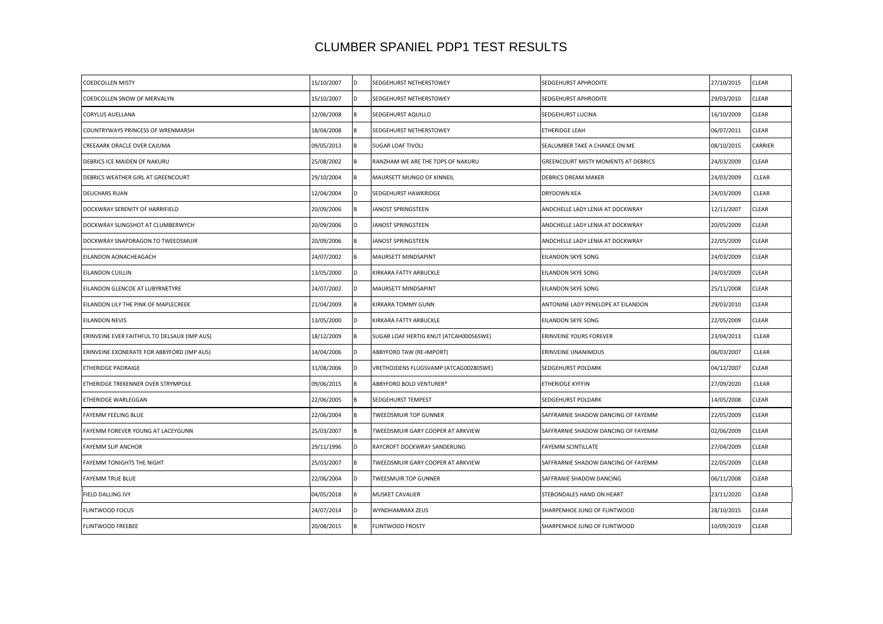| <b>COEDCOLLEN MISTY</b>                      | 15/10/2007 | D | SEDGEHURST NETHERSTOWEY                | SEDGEHURST APHRODITE                       | 27/10/2015 | <b>CLEAR</b> |
|----------------------------------------------|------------|---|----------------------------------------|--------------------------------------------|------------|--------------|
| COEDCOLLEN SNOW OF MERVALYN                  | 15/10/2007 |   | SEDGEHURST NETHERSTOWEY                | SEDGEHURST APHRODITE                       | 29/03/2010 | CLEAR        |
| CORYLUS AUELLANA                             | 12/06/2008 |   | SEDGEHURST AQUILLO                     | SEDGEHURST LUCINA                          | 16/10/2009 | <b>CLEAR</b> |
| COUNTRYWAYS PRINCESS OF WRENMARSH            | 18/04/2008 |   | SEDGEHURST NETHERSTOWEY                | ETHERIDGE LEAH                             | 06/07/2011 | <b>CLEAR</b> |
| CREEAARK ORACLE OVER CAJUMA                  | 09/05/2013 |   | <b>SUGAR LOAF TIVOLI</b>               | SEALUMBER TAKE A CHANCE ON ME              | 08/10/2015 | CARRIER      |
| DEBRICS ICE MAIDEN OF NAKURU                 | 25/08/2002 |   | RANZHAM WE ARE THE TOPS OF NAKURU      | <b>GREENCOURT MISTY MOMENTS AT DEBRICS</b> | 24/03/2009 | CLEAR        |
| DEBRICS WEATHER GIRL AT GREENCOURT           | 29/10/2004 |   | MAURSETT MUNGO OF KINNEIL              | DEBRICS DREAM MAKER                        | 24/03/2009 | <b>CLEAR</b> |
| DEUCHARS RUAN                                | 12/04/2004 | D | SEDGEHURST HAWKRIDGE                   | DRYDOWN KEA                                | 24/03/2009 | CLEAR        |
| DOCKWRAY SERENITY OF HARRIFIELD              | 20/09/2006 | B | JANOST SPRINGSTEEN                     | ANDCHELLE LADY LENIA AT DOCKWRAY           | 12/11/2007 | <b>CLEAR</b> |
| DOCKWRAY SLINGSHOT AT CLUMBERWYCH            | 20/09/2006 | D | JANOST SPRINGSTEEN                     | ANDCHELLE LADY LENIA AT DOCKWRAY           | 20/05/2009 | CLEAR        |
| DOCKWRAY SNAPDRAGON TO TWEEDSMUIR            | 20/09/2006 |   | JANOST SPRINGSTEEN                     | ANDCHELLE LADY LENIA AT DOCKWRAY           | 22/05/2009 | CLEAR        |
| EILANDON AONACHEAGACH                        | 24/07/2002 |   | MAURSETT MINDSAPINT                    | EILANDON SKYE SONG                         | 24/03/2009 | CLEAR        |
| EILANDON CUILLIN                             | 13/05/2000 | D | KIRKARA FATTY ARBUCKLE                 | EILANDON SKYE SONG                         | 24/03/2009 | <b>CLEAR</b> |
| EILANDON GLENCOE AT LUBYRNETYRE              | 24/07/2002 | D | MAURSETT MINDSAPINT                    | <b>EILANDON SKYE SONG</b>                  | 25/11/2008 | <b>CLEAR</b> |
| EILANDON LILY THE PINK OF MAPLECREEK         | 21/04/2009 |   | KIRKARA TOMMY GUNN                     | ANTONINE LADY PENELOPE AT EILANDON         | 29/03/2010 | <b>CLEAR</b> |
| EILANDON NEVIS                               | 13/05/2000 | D | KIRKARA FATTY ARBUCKLE                 | EILANDON SKYE SONG                         | 22/05/2009 | CLEAR        |
| ERINVEINE EVER FAITHFUL TO DELSAUX (IMP AUS) | 18/12/2009 | В | SUGAR LOAF HERTIG KNUT (ATCAH00056SWE) | ERINVEINE YOURS FOREVER                    | 23/04/2013 | CLEAR        |
| ERINVEINE EXONERATE FOR ABBYFORD (IMP AUS)   | 14/04/2006 |   | ABBYFORD TAW (RE-IMPORT)               | ERINVEINE UNANIMOUS                        | 06/03/2007 | <b>CLEAR</b> |
| ETHERIDGE PADRAIGE                           | 31/08/2006 | D | VRETHOJDENS FLUGSVAMP (ATCAG00280SWE)  | SEDGEHURST POLDARK                         | 04/12/2007 | CLEAR        |
| ETHERIDGE TREKENNER OVER STRYMPOLE           | 09/06/2015 |   | ABBYFORD BOLD VENTURER*                | <b>ETHERIDGE KYFFIN</b>                    | 27/09/2020 | CLEAR        |
| ETHERIDGE WARLEGGAN                          | 22/06/2005 |   | SEDGEHURST TEMPEST                     | SEDGEHURST POLDARK                         | 14/05/2008 | <b>CLEAR</b> |
| FAYEMM FEELING BLUE                          | 22/06/2004 |   | <b>TWEEDSMUIR TOP GUNNER</b>           | SAFFRARNIE SHADOW DANCING OF FAYEMM        | 22/05/2009 | CLEAR        |
| FAYEMM FOREVER YOUNG AT LACEYGUNN            | 25/03/2007 | В | TWEEDSMUIR GARY COOPER AT ARKVIEW      | SAFFRARNIE SHADOW DANCING OF FAYEMM        | 02/06/2009 | CLEAR        |
| FAYEMM SLIP ANCHOR                           | 29/11/1996 | D | RAYCROFT DOCKWRAY SANDERLING           | <b>FAYEMM SCINTILLATE</b>                  | 27/04/2009 | CLEAR        |
| FAYEMM TONIGHTS THE NIGHT                    | 25/03/2007 |   | TWEEDSMUIR GARY COOPER AT ARKVIEW      | SAFFRARNIE SHADOW DANCING OF FAYEMM        | 22/05/2009 | CLEAR        |
| <b>FAYEMM TRUE BLUE</b>                      | 22/06/2004 | D | <b>TWEESMUIR TOP GUNNER</b>            | SAFFRANIE SHADOW DANCING                   | 06/11/2008 | CLEAR        |
| FIELD DALLING IVY                            | 04/05/2018 |   | <b>MUSKET CAVALIER</b>                 | STEBONDALES HAND ON HEART                  | 23/11/2020 | CLEAR        |
| <b>FLINTWOOD FOCUS</b>                       | 24/07/2014 | D | WYNDHAMMAX ZEUS                        | SHARPENHOE JUNO OF FLINTWOOD               | 28/10/2015 | CLEAR        |
| FLINTWOOD FREEBEE                            | 20/08/2015 |   | <b>FLINTWOOD FROSTY</b>                | SHARPENHOE JUNO OF FLINTWOOD               | 10/09/2019 | CLEAR        |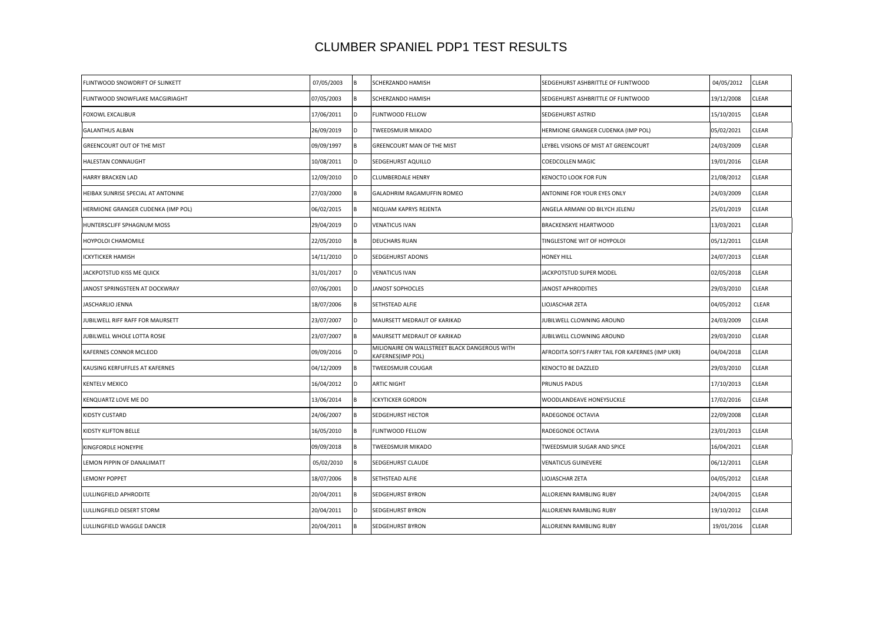| FLINTWOOD SNOWDRIFT OF SLINKETT    | 07/05/2003 |     | SCHERZANDO HAMISH                                                  | SEDGEHURST ASHBRITTLE OF FLINTWOOD                | 04/05/2012 | CLEAR        |
|------------------------------------|------------|-----|--------------------------------------------------------------------|---------------------------------------------------|------------|--------------|
| FLINTWOOD SNOWFLAKE MACGIRIAGHT    | 07/05/2003 |     | SCHERZANDO HAMISH                                                  | SEDGEHURST ASHBRITTLE OF FLINTWOOD                | 19/12/2008 | <b>CLEAR</b> |
| <b>FOXOWL EXCALIBUR</b>            | 17/06/2011 | D   | FLINTWOOD FELLOW                                                   | SEDGEHURST ASTRID                                 | 15/10/2015 | <b>CLEAR</b> |
| <b>GALANTHUS ALBAN</b>             | 26/09/2019 | ID. | <b>TWEEDSMUIR MIKADO</b>                                           | HERMIONE GRANGER CUDENKA (IMP POL)                | 05/02/2021 | <b>CLEAR</b> |
| GREENCOURT OUT OF THE MIST         | 09/09/1997 |     | GREENCOURT MAN OF THE MIST                                         | LEYBEL VISIONS OF MIST AT GREENCOURT              | 24/03/2009 | CLEAR        |
| HALESTAN CONNAUGHT                 | 10/08/2011 | D   | SEDGEHURST AQUILLO                                                 | COEDCOLLEN MAGIC                                  | 19/01/2016 | CLEAR        |
| HARRY BRACKEN LAD                  | 12/09/2010 | D   | <b>CLUMBERDALE HENRY</b>                                           | KENOCTO LOOK FOR FUN                              | 21/08/2012 | CLEAR        |
| HEIBAX SUNRISE SPECIAL AT ANTONINE | 27/03/2000 |     | GALADHRIM RAGAMUFFIN ROMEO                                         | ANTONINE FOR YOUR EYES ONLY                       | 24/03/2009 | CLEAR        |
| HERMIONE GRANGER CUDENKA (IMP POL) | 06/02/2015 |     | NEQUAM KAPRYS REJENTA                                              | ANGELA ARMANI OD BILYCH JELENU                    | 25/01/2019 | CLEAR        |
| HUNTERSCLIFF SPHAGNUM MOSS         | 29/04/2019 | D   | <b>VENATICUS IVAN</b>                                              | BRACKENSKYE HEARTWOOD                             | 13/03/2021 | CLEAR        |
| HOYPOLOI CHAMOMILE                 | 22/05/2010 |     | <b>DEUCHARS RUAN</b>                                               | TINGLESTONE WIT OF HOYPOLOI                       | 05/12/2011 | CLEAR        |
| <b>ICKYTICKER HAMISH</b>           | 14/11/2010 |     | SEDGEHURST ADONIS                                                  | HONEY HILL                                        | 24/07/2013 | CLEAR        |
| JACKPOTSTUD KISS ME QUICK          | 31/01/2017 | D   | <b>VENATICUS IVAN</b>                                              | JACKPOTSTUD SUPER MODEL                           | 02/05/2018 | CLEAR        |
| JANOST SPRINGSTEEN AT DOCKWRAY     | 07/06/2001 | D   | JANOST SOPHOCLES                                                   | JANOST APHRODITIES                                | 29/03/2010 | CLEAR        |
| JASCHARLIO JENNA                   | 18/07/2006 |     | SETHSTEAD ALFIE                                                    | LIOJASCHAR ZETA                                   | 04/05/2012 | CLEAR        |
| JUBILWELL RIFF RAFF FOR MAURSETT   | 23/07/2007 | D   | MAURSETT MEDRAUT OF KARIKAD                                        | JUBILWELL CLOWNING AROUND                         | 24/03/2009 | <b>CLEAR</b> |
| JUBILWELL WHOLE LOTTA ROSIE        | 23/07/2007 |     | MAURSETT MEDRAUT OF KARIKAD                                        | JUBILWELL CLOWNING AROUND                         | 29/03/2010 | CLEAR        |
| KAFERNES CONNOR MCLEOD             | 09/09/2016 |     | MILIONAIRE ON WALLSTREET BLACK DANGEROUS WITH<br>KAFERNES(IMP POL) | AFRODITA SOFI'S FAIRY TAIL FOR KAFERNES (IMP UKR) | 04/04/2018 | CLEAR        |
| KAUSING KERFUFFLES AT KAFERNES     | 04/12/2009 |     | <b>TWEEDSMUIR COUGAR</b>                                           | KENOCTO BE DAZZLED                                | 29/03/2010 | <b>CLEAR</b> |
| KENTELV MEXICO                     | 16/04/2012 | D   | <b>ARTIC NIGHT</b>                                                 | <b>PRUNUS PADUS</b>                               | 17/10/2013 | CLEAR        |
| KENQUARTZ LOVE ME DO               | 13/06/2014 |     | <b>ICKYTICKER GORDON</b>                                           | WOODLANDEAVE HONEYSUCKLE                          | 17/02/2016 | <b>CLEAR</b> |
| KIDSTY CUSTARD                     | 24/06/2007 |     | SEDGEHURST HECTOR                                                  | RADEGONDE OCTAVIA                                 | 22/09/2008 | CLEAR        |
| KIDSTY KLIFTON BELLE               | 16/05/2010 | В   | <b>FLINTWOOD FELLOW</b>                                            | RADEGONDE OCTAVIA                                 | 23/01/2013 | CLEAR        |
| KINGFORDLE HONEYPIE                | 09/09/2018 |     | <b>TWEEDSMUIR MIKADO</b>                                           | TWEEDSMUIR SUGAR AND SPICE                        | 16/04/2021 | <b>CLEAR</b> |
| LEMON PIPPIN OF DANALIMATT         | 05/02/2010 |     | SEDGEHURST CLAUDE                                                  | <b>VENATICUS GUINEVERE</b>                        | 06/12/2011 | CLEAR        |
| LEMONY POPPET                      | 18/07/2006 |     | SETHSTEAD ALFIE                                                    | LIOJASCHAR ZETA                                   | 04/05/2012 | CLEAR        |
| LULLINGFIELD APHRODITE             | 20/04/2011 |     | SEDGEHURST BYRON                                                   | ALLORJENN RAMBLING RUBY                           | 24/04/2015 | CLEAR        |
| LULLINGFIELD DESERT STORM          | 20/04/2011 | D   | SEDGEHURST BYRON                                                   | ALLORJENN RAMBLING RUBY                           | 19/10/2012 | CLEAR        |
| LULLINGFIELD WAGGLE DANCER         | 20/04/2011 |     | SEDGEHURST BYRON                                                   | ALLORJENN RAMBLING RUBY                           | 19/01/2016 | <b>CLEAR</b> |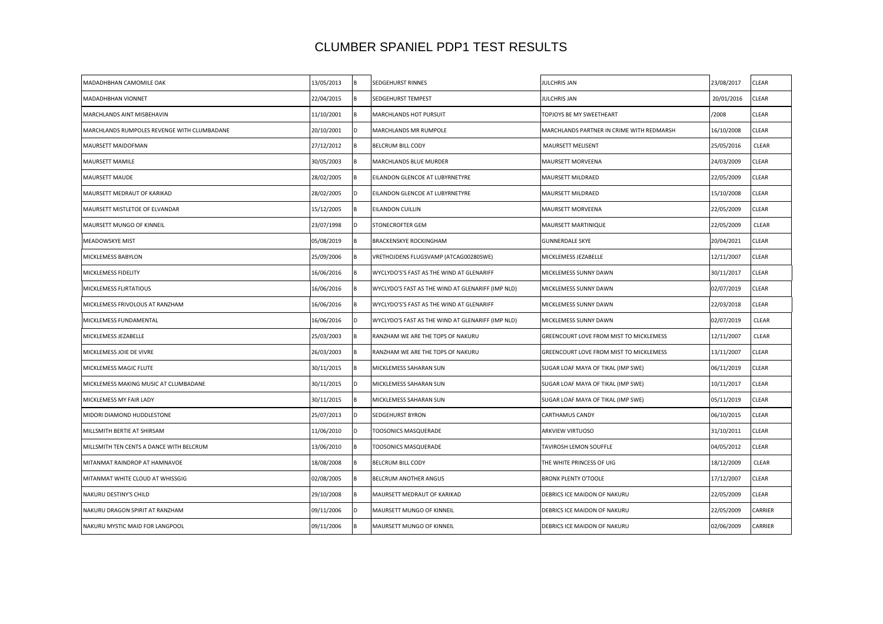| MADADHBHAN CAMOMILE OAK                     | 13/05/2013 |   | SEDGEHURST RINNES                                 | JULCHRIS JAN                              | 23/08/2017 | <b>CLEAR</b> |
|---------------------------------------------|------------|---|---------------------------------------------------|-------------------------------------------|------------|--------------|
| MADADHBHAN VIONNET                          | 22/04/2015 |   | SEDGEHURST TEMPEST                                | JULCHRIS JAN                              | 20/01/2016 | <b>CLEAR</b> |
| MARCHLANDS AINT MISBEHAVIN                  | 11/10/2001 | B | MARCHLANDS HOT PURSUIT                            | TOPJOYS BE MY SWEETHEART                  | /2008      | <b>CLEAR</b> |
| MARCHLANDS RUMPOLES REVENGE WITH CLUMBADANE | 20/10/2001 | D | MARCHLANDS MR RUMPOLE                             | MARCHLANDS PARTNER IN CRIME WITH REDMARSH | 16/10/2008 | <b>CLEAR</b> |
| MAURSETT MAIDOFMAN                          | 27/12/2012 | В | <b>BELCRUM BILL CODY</b>                          | MAURSETT MELISENT                         | 25/05/2016 | <b>CLEAR</b> |
| MAURSETT MAMILE                             | 30/05/2003 |   | MARCHLANDS BLUE MURDER                            | MAURSETT MORVEENA                         | 24/03/2009 | CLEAR        |
| MAURSETT MAUDE                              | 28/02/2005 |   | EILANDON GLENCOE AT LUBYRNETYRE                   | MAURSETT MILDRAED                         | 22/05/2009 | CLEAR        |
| MAURSETT MEDRAUT OF KARIKAD                 | 28/02/2005 | D | EILANDON GLENCOE AT LUBYRNETYRE                   | MAURSETT MILDRAED                         | 15/10/2008 | CLEAR        |
| MAURSETT MISTLETOE OF ELVANDAR              | 15/12/2005 | B | EILANDON CUILLIN                                  | MAURSETT MORVEENA                         | 22/05/2009 | CLEAR        |
| MAURSETT MUNGO OF KINNEIL                   | 23/07/1998 | D | STONECROFTER GEM                                  | MAURSETT MARTINIQUE                       | 22/05/2009 | CLEAR        |
| MEADOWSKYE MIST                             | 05/08/2019 | В | BRACKENSKYE ROCKINGHAM                            | <b>GUNNERDALE SKYE</b>                    | 20/04/2021 | <b>CLEAR</b> |
| MICKLEMESS BABYLON                          | 25/09/2006 |   | VRETHOJDENS FLUGSVAMP (ATCAG00280SWE)             | MICKLEMESS JEZABELLE                      | 12/11/2007 | CLEAR        |
| MICKLEMESS FIDELITY                         | 16/06/2016 |   | WYCLYDO'S'S FAST AS THE WIND AT GLENARIFF         | MICKLEMESS SUNNY DAWN                     | 30/11/2017 | CLEAR        |
| MICKLEMESS FLIRTATIOUS                      | 16/06/2016 |   | WYCLYDO'S FAST AS THE WIND AT GLENARIFF (IMP NLD) | MICKLEMESS SUNNY DAWN                     | 02/07/2019 | CLEAR        |
| MICKLEMESS FRIVOLOUS AT RANZHAM             | 16/06/2016 |   | WYCLYDO'S'S FAST AS THE WIND AT GLENARIFF         | MICKLEMESS SUNNY DAWN                     | 22/03/2018 | CLEAR        |
| MICKLEMESS FUNDAMENTAL                      | 16/06/2016 | D | WYCLYDO'S FAST AS THE WIND AT GLENARIFF (IMP NLD) | MICKLEMESS SUNNY DAWN                     | 02/07/2019 | CLEAR        |
| MICKLEMESS JEZABELLE                        | 25/03/2003 | В | RANZHAM WE ARE THE TOPS OF NAKURU                 | GREENCOURT LOVE FROM MIST TO MICKLEMESS   | 12/11/2007 | CLEAR        |
| MICKLEMESS JOIE DE VIVRE                    | 26/03/2003 |   | RANZHAM WE ARE THE TOPS OF NAKURU                 | GREENCOURT LOVE FROM MIST TO MICKLEMESS   | 13/11/2007 | <b>CLEAR</b> |
| MICKLEMESS MAGIC FLUTE                      | 30/11/2015 |   | MICKLEMESS SAHARAN SUN                            | SUGAR LOAF MAYA OF TIKAL (IMP SWE)        | 06/11/2019 | <b>CLEAR</b> |
| MICKLEMESS MAKING MUSIC AT CLUMBADANE       | 30/11/2015 | D | MICKLEMESS SAHARAN SUN                            | SUGAR LOAF MAYA OF TIKAL (IMP SWE)        | 10/11/2017 | <b>CLEAR</b> |
| MICKLEMESS MY FAIR LADY                     | 30/11/2015 |   | MICKLEMESS SAHARAN SUN                            | SUGAR LOAF MAYA OF TIKAL (IMP SWE)        | 05/11/2019 | <b>CLEAR</b> |
| MIDORI DIAMOND HUDDLESTONE                  | 25/07/2013 | D | SEDGEHURST BYRON                                  | CARTHAMUS CANDY                           | 06/10/2015 | CLEAR        |
| MILLSMITH BERTIE AT SHIRSAM                 | 11/06/2010 | D | TOOSONICS MASQUERADE                              | ARKVIEW VIRTUOSO                          | 31/10/2011 | <b>CLEAR</b> |
| MILLSMITH TEN CENTS A DANCE WITH BELCRUM    | 13/06/2010 | В | TOOSONICS MASQUERADE                              | TAVIROSH LEMON SOUFFLE                    | 04/05/2012 | CLEAR        |
| MITANMAT RAINDROP AT HAMNAVOE               | 18/08/2008 |   | BELCRUM BILL CODY                                 | THE WHITE PRINCESS OF UIG                 | 18/12/2009 | <b>CLEAR</b> |
| MITANMAT WHITE CLOUD AT WHISSGIG            | 02/08/2005 |   | BELCRUM ANOTHER ANGUS                             | <b>BRONX PLENTY O'TOOLE</b>               | 17/12/2007 | CLEAR        |
| NAKURU DESTINY'S CHILD                      | 29/10/2008 |   | MAURSETT MEDRAUT OF KARIKAD                       | DEBRICS ICE MAIDON OF NAKURU              | 22/05/2009 | CLEAR        |
| NAKURU DRAGON SPIRIT AT RANZHAM             | 09/11/2006 | D | MAURSETT MUNGO OF KINNEIL                         | DEBRICS ICE MAIDON OF NAKURU              | 22/05/2009 | CARRIER      |
| NAKURU MYSTIC MAID FOR LANGPOOL             | 09/11/2006 |   | MAURSETT MUNGO OF KINNEIL                         | DEBRICS ICE MAIDON OF NAKURU              | 02/06/2009 | CARRIER      |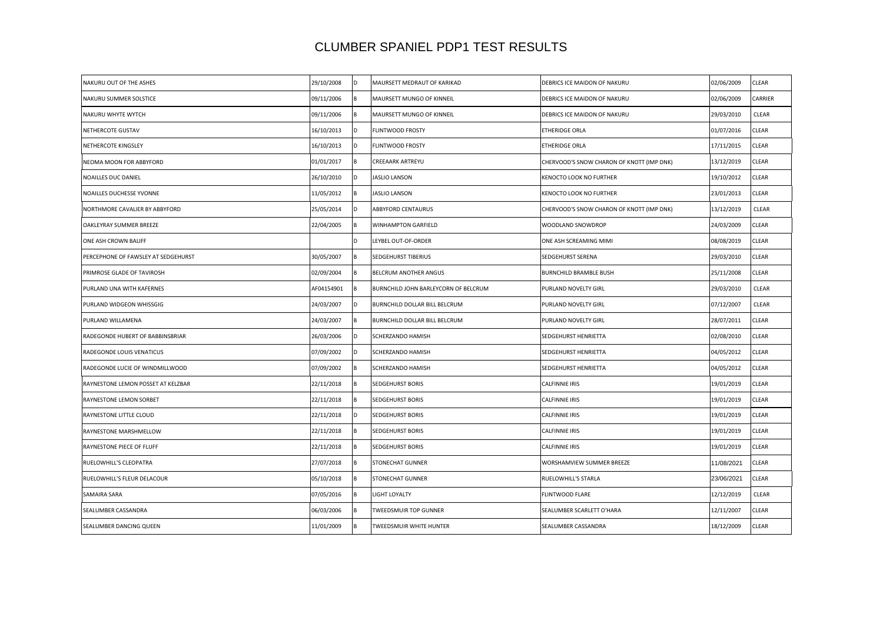| NAKURU OUT OF THE ASHES             | 29/10/2008 | D   | MAURSETT MEDRAUT OF KARIKAD          | DEBRICS ICE MAIDON OF NAKURU              | 02/06/2009 | <b>CLEAR</b> |
|-------------------------------------|------------|-----|--------------------------------------|-------------------------------------------|------------|--------------|
| NAKURU SUMMER SOLSTICE              | 09/11/2006 |     | MAURSETT MUNGO OF KINNEIL            | DEBRICS ICE MAIDON OF NAKURU              | 02/06/2009 | CARRIER      |
| NAKURU WHYTE WYTCH                  | 09/11/2006 |     | MAURSETT MUNGO OF KINNEIL            | DEBRICS ICE MAIDON OF NAKURU              | 29/03/2010 | CLEAR        |
| NETHERCOTE GUSTAV                   | 16/10/2013 | D   | <b>FLINTWOOD FROSTY</b>              | ETHERIDGE ORLA                            | 01/07/2016 | <b>CLEAR</b> |
| NETHERCOTE KINGSLEY                 | 16/10/2013 | D   | <b>FLINTWOOD FROSTY</b>              | ETHERIDGE ORLA                            | 17/11/2015 | CLEAR        |
| NEOMA MOON FOR ABBYFORD             | 01/01/2017 |     | CREEAARK ARTREYU                     | CHERVOOD'S SNOW CHARON OF KNOTT (IMP DNK) | 13/12/2019 | CLEAR        |
| NOAILLES DUC DANIEL                 | 26/10/2010 | D   | <b>JASLIO LANSON</b>                 | KENOCTO LOOK NO FURTHER                   | 19/10/2012 | CLEAR        |
| NOAILLES DUCHESSE YVONNE            | 11/05/2012 |     | JASLIO LANSON                        | KENOCTO LOOK NO FURTHER                   | 23/01/2013 | CLEAR        |
| NORTHMORE CAVALIER BY ABBYFORD      | 25/05/2014 | ID. | <b>ABBYFORD CENTAURUS</b>            | CHERVOOD'S SNOW CHARON OF KNOTT (IMP DNK) | 13/12/2019 | CLEAR        |
| OAKLEYRAY SUMMER BREEZE             | 22/04/2005 | B   | WINHAMPTON GARFIELD                  | WOODLAND SNOWDROP                         | 24/03/2009 | CLEAR        |
| ONE ASH CROWN BALIFF                |            | D   | LEYBEL OUT-OF-ORDER                  | ONE ASH SCREAMING MIMI                    | 08/08/2019 | CLEAR        |
| PERCEPHONE OF FAWSLEY AT SEDGEHURST | 30/05/2007 |     | SEDGEHURST TIBERIUS                  | SEDGEHURST SERENA                         | 29/03/2010 | CLEAR        |
| PRIMROSE GLADE OF TAVIROSH          | 02/09/2004 |     | BELCRUM ANOTHER ANGUS                | BURNCHILD BRAMBLE BUSH                    | 25/11/2008 | <b>CLEAR</b> |
| PURLAND UNA WITH KAFERNES           | AF04154901 |     | BURNCHILD JOHN BARLEYCORN OF BELCRUM | PURLAND NOVELTY GIRL                      | 29/03/2010 | CLEAR        |
| PURLAND WIDGEON WHISSGIG            | 24/03/2007 | D   | BURNCHILD DOLLAR BILL BELCRUM        | PURLAND NOVELTY GIRL                      | 07/12/2007 | CLEAR        |
| PURLAND WILLAMENA                   | 24/03/2007 | В   | BURNCHILD DOLLAR BILL BELCRUM        | PURLAND NOVELTY GIRL                      | 28/07/2011 | CLEAR        |
| RADEGONDE HUBERT OF BABBINSBRIAR    | 26/03/2006 | D   | SCHERZANDO HAMISH                    | SEDGEHURST HENRIETTA                      | 02/08/2010 | CLEAR        |
| RADEGONDE LOUIS VENATICUS           | 07/09/2002 |     | SCHERZANDO HAMISH                    | SEDGEHURST HENRIETTA                      | 04/05/2012 | CLEAR        |
| RADEGONDE LUCIE OF WINDMILLWOOD     | 07/09/2002 |     | SCHERZANDO HAMISH                    | SEDGEHURST HENRIETTA                      | 04/05/2012 | CLEAR        |
| RAYNESTONE LEMON POSSET AT KELZBAR  | 22/11/2018 |     | SEDGEHURST BORIS                     | CALFINNIE IRIS                            | 19/01/2019 | CLEAR        |
| RAYNESTONE LEMON SORBET             | 22/11/2018 | B   | <b>SEDGEHURST BORIS</b>              | CALFINNIE IRIS                            | 19/01/2019 | CLEAR        |
| RAYNESTONE LITTLE CLOUD             | 22/11/2018 | D   | SEDGEHURST BORIS                     | CALFINNIE IRIS                            | 19/01/2019 | <b>CLEAR</b> |
| RAYNESTONE MARSHMELLOW              | 22/11/2018 | В   | <b>SEDGEHURST BORIS</b>              | CALFINNIE IRIS                            | 19/01/2019 | CLEAR        |
| RAYNESTONE PIECE OF FLUFF           | 22/11/2018 |     | SEDGEHURST BORIS                     | <b>CALFINNIE IRIS</b>                     | 19/01/2019 | CLEAR        |
| RUELOWHILL'S CLEOPATRA              | 27/07/2018 |     | STONECHAT GUNNER                     | WORSHAMVIEW SUMMER BREEZE                 | 11/08/2021 | CLEAR        |
| RUELOWHILL'S FLEUR DELACOUR         | 05/10/2018 |     | STONECHAT GUNNER                     | RUELOWHILL'S STARLA                       | 23/06/2021 | CLEAR        |
| SAMAIRA SARA                        | 07/05/2016 |     | LIGHT LOYALTY                        | FLINTWOOD FLARE                           | 12/12/2019 | CLEAR        |
| SEALUMBER CASSANDRA                 | 06/03/2006 |     | <b>TWEEDSMUIR TOP GUNNER</b>         | SEALUMBER SCARLETT O'HARA                 | 12/11/2007 | CLEAR        |
| SEALUMBER DANCING QUEEN             | 11/01/2009 |     | TWEEDSMUIR WHITE HUNTER              | SEALUMBER CASSANDRA                       | 18/12/2009 | CLEAR        |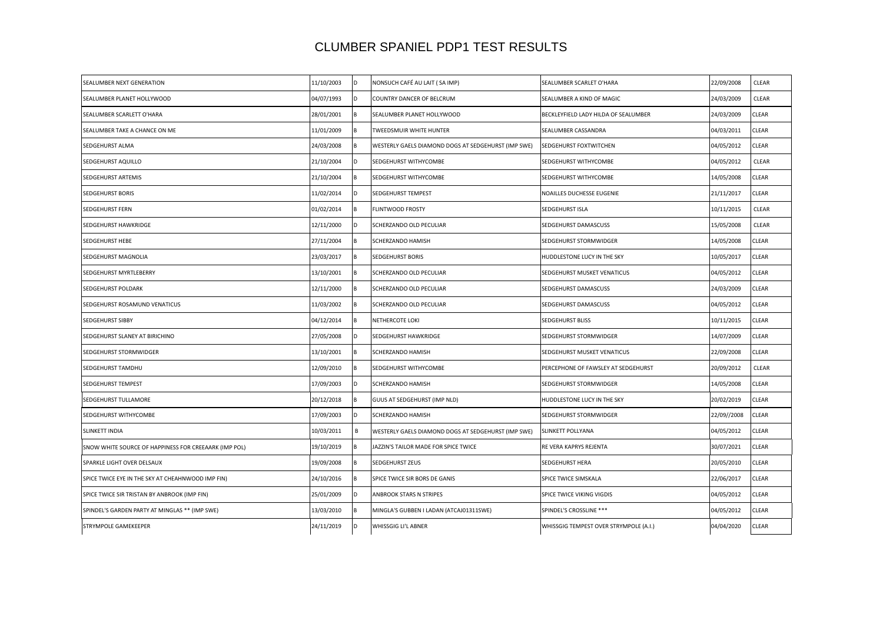| SEALUMBER NEXT GENERATION                             | 11/10/2003 | D  | NONSUCH CAFÉ AU LAIT (SA IMP)                       | SEALUMBER SCARLET O'HARA               | 22/09/2008  | CLEAR        |
|-------------------------------------------------------|------------|----|-----------------------------------------------------|----------------------------------------|-------------|--------------|
| SEALUMBER PLANET HOLLYWOOD                            | 04/07/1993 | D  | COUNTRY DANCER OF BELCRUM                           | SEALUMBER A KIND OF MAGIC              | 24/03/2009  | CLEAR        |
| SEALUMBER SCARLETT O'HARA                             | 28/01/2001 | B  | SEALUMBER PLANET HOLLYWOOD                          | BECKLEYFIELD LADY HILDA OF SEALUMBER   | 24/03/2009  | CLEAR        |
| SEALUMBER TAKE A CHANCE ON ME                         | 11/01/2009 | В  | TWEEDSMUIR WHITE HUNTER                             | SEALUMBER CASSANDRA                    | 04/03/2011  | <b>CLEAR</b> |
| SEDGEHURST ALMA                                       | 24/03/2008 | B  | WESTERLY GAELS DIAMOND DOGS AT SEDGEHURST (IMP SWE) | SEDGEHURST FOXTWITCHEN                 | 04/05/2012  | <b>CLEAR</b> |
| SEDGEHURST AQUILLO                                    | 21/10/2004 | D  | SEDGEHURST WITHYCOMBE                               | SEDGEHURST WITHYCOMBE                  | 04/05/2012  | CLEAR        |
| SEDGEHURST ARTEMIS                                    | 21/10/2004 | B  | SEDGEHURST WITHYCOMBE                               | SEDGEHURST WITHYCOMBE                  | 14/05/2008  | <b>CLEAR</b> |
| SEDGEHURST BORIS                                      | 11/02/2014 | D  | SEDGEHURST TEMPEST                                  | NOAILLES DUCHESSE EUGENIE              | 21/11/2017  | <b>CLEAR</b> |
| SEDGEHURST FERN                                       | 01/02/2014 | B  | FLINTWOOD FROSTY                                    | SEDGEHURST ISLA                        | 10/11/2015  | CLEAR        |
| SEDGEHURST HAWKRIDGE                                  | 12/11/2000 | D  | SCHERZANDO OLD PECULIAR                             | SEDGEHURST DAMASCUSS                   | 15/05/2008  | CLEAR        |
| SEDGEHURST HEBE                                       | 27/11/2004 | B  | SCHERZANDO HAMISH                                   | SEDGEHURST STORMWIDGER                 | 14/05/2008  | CLEAR        |
| SEDGEHURST MAGNOLIA                                   | 23/03/2017 | B  | SEDGEHURST BORIS                                    | HUDDLESTONE LUCY IN THE SKY            | 10/05/2017  | CLEAR        |
| SEDGEHURST MYRTLEBERRY                                | 13/10/2001 | B  | SCHERZANDO OLD PECULIAR                             | SEDGEHURST MUSKET VENATICUS            | 04/05/2012  | CLEAR        |
| SEDGEHURST POLDARK                                    | 12/11/2000 | B  | SCHERZANDO OLD PECULIAR                             | SEDGEHURST DAMASCUSS                   | 24/03/2009  | CLEAR        |
| SEDGEHURST ROSAMUND VENATICUS                         | 11/03/2002 | B  | SCHERZANDO OLD PECULIAR                             | SEDGEHURST DAMASCUSS                   | 04/05/2012  | CLEAR        |
| SEDGEHURST SIBBY                                      | 04/12/2014 | B  | NETHERCOTE LOKI                                     | SEDGEHURST BLISS                       | 10/11/2015  | CLEAR        |
| SEDGEHURST SLANEY AT BIRICHINO                        | 27/05/2008 | D  | SEDGEHURST HAWKRIDGE                                | SEDGEHURST STORMWIDGER                 | 14/07/2009  | CLEAR        |
| SEDGEHURST STORMWIDGER                                | 13/10/2001 | B  | SCHERZANDO HAMISH                                   | SEDGEHURST MUSKET VENATICUS            | 22/09/2008  | CLEAR        |
| SEDGEHURST TAMDHU                                     | 12/09/2010 | B  | SEDGEHURST WITHYCOMBE                               | PERCEPHONE OF FAWSLEY AT SEDGEHURST    | 20/09/2012  | CLEAR        |
| SEDGEHURST TEMPEST                                    | 17/09/2003 | D  | SCHERZANDO HAMISH                                   | SEDGEHURST STORMWIDGER                 | 14/05/2008  | <b>CLEAR</b> |
| SEDGEHURST TULLAMORE                                  | 20/12/2018 | В  | GUUS AT SEDGEHURST (IMP NLD)                        | HUDDLESTONE LUCY IN THE SKY            | 20/02/2019  | CLEAR        |
| SEDGEHURST WITHYCOMBE                                 | 17/09/2003 | D  | <b>SCHERZANDO HAMISH</b>                            | SEDGEHURST STORMWIDGER                 | 22/09//2008 | <b>CLEAR</b> |
| SLINKETT INDIA                                        | 10/03/2011 | В  | WESTERLY GAELS DIAMOND DOGS AT SEDGEHURST (IMP SWE) | SLINKETT POLLYANA                      | 04/05/2012  | <b>CLEAR</b> |
| SNOW WHITE SOURCE OF HAPPINESS FOR CREEAARK (IMP POL) | 19/10/2019 | B  | JAZZIN'S TAILOR MADE FOR SPICE TWICE                | RE VERA KAPRYS REJENTA                 | 30/07/2021  | <b>CLEAR</b> |
| SPARKLE LIGHT OVER DELSAUX                            | 19/09/2008 | В  | SEDGEHURST ZEUS                                     | SEDGEHURST HERA                        | 20/05/2010  | CLEAR        |
| SPICE TWICE EYE IN THE SKY AT CHEAHNWOOD IMP FIN)     | 24/10/2016 |    | SPICE TWICE SIR BORS DE GANIS                       | SPICE TWICE SIMSKALA                   | 22/06/2017  | CLEAR        |
| SPICE TWICE SIR TRISTAN BY ANBROOK (IMP FIN)          | 25/01/2009 | D  | ANBROOK STARS N STRIPES                             | SPICE TWICE VIKING VIGDIS              | 04/05/2012  | <b>CLEAR</b> |
| SPINDEL'S GARDEN PARTY AT MINGLAS ** (IMP SWE)        | 13/03/2010 | B  | MINGLA'S GUBBEN I LADAN (ATCAJ01311SWE)             | SPINDEL'S CROSSLINE ***                | 04/05/2012  | <b>CLEAR</b> |
| STRYMPOLE GAMEKEEPER                                  | 24/11/2019 | D. | WHISSGIG LI'L ABNER                                 | WHISSGIG TEMPEST OVER STRYMPOLE (A.I.) | 04/04/2020  | CLEAR        |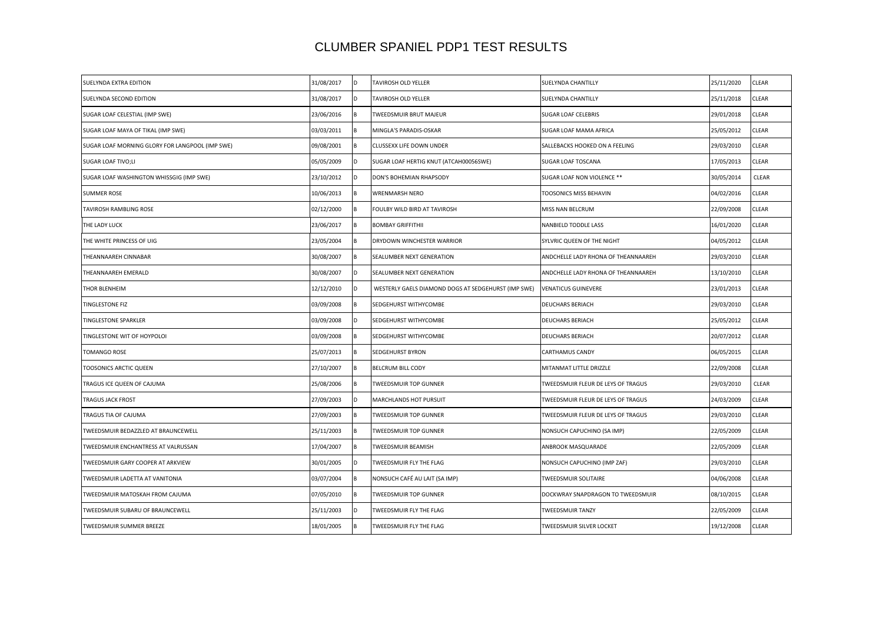| SUELYNDA EXTRA EDITION                          | 31/08/2017 | D | TAVIROSH OLD YELLER                                 | SUELYNDA CHANTILLY                  | 25/11/2020 | <b>CLEAR</b> |
|-------------------------------------------------|------------|---|-----------------------------------------------------|-------------------------------------|------------|--------------|
| SUELYNDA SECOND EDITION                         | 31/08/2017 |   | <b>TAVIROSH OLD YELLER</b>                          | SUELYNDA CHANTILLY                  | 25/11/2018 | CLEAR        |
| SUGAR LOAF CELESTIAL (IMP SWE)                  | 23/06/2016 |   | TWEEDSMUIR BRUT MAJEUR                              | SUGAR LOAF CELEBRIS                 | 29/01/2018 | <b>CLEAR</b> |
| SUGAR LOAF MAYA OF TIKAL (IMP SWE)              | 03/03/2011 | в | MINGLA'S PARADIS-OSKAR                              | SUGAR LOAF MAMA AFRICA              | 25/05/2012 | CLEAR        |
| SUGAR LOAF MORNING GLORY FOR LANGPOOL (IMP SWE) | 09/08/2001 |   | CLUSSEXX LIFE DOWN UNDER                            | SALLEBACKS HOOKED ON A FEELING      | 29/03/2010 | <b>CLEAR</b> |
| SUGAR LOAF TIVO;LI                              | 05/05/2009 | D | SUGAR LOAF HERTIG KNUT (ATCAH00056SWE)              | SUGAR LOAF TOSCANA                  | 17/05/2013 | <b>CLEAR</b> |
| SUGAR LOAF WASHINGTON WHISSGIG (IMP SWE)        | 23/10/2012 | D | DON'S BOHEMIAN RHAPSODY                             | SUGAR LOAF NON VIOLENCE **          | 30/05/2014 | CLEAR        |
| <b>SUMMER ROSE</b>                              | 10/06/2013 |   | <b>WRENMARSH NERO</b>                               | TOOSONICS MISS BEHAVIN              | 04/02/2016 | <b>CLEAR</b> |
| TAVIROSH RAMBLING ROSE                          | 02/12/2000 |   | FOULBY WILD BIRD AT TAVIROSH                        | MISS NAN BELCRUM                    | 22/09/2008 | CLEAR        |
| THE LADY LUCK                                   | 23/06/2017 | B | <b>BOMBAY GRIFFITHII</b>                            | NANBIELD TODDLE LASS                | 16/01/2020 | CLEAR        |
| THE WHITE PRINCESS OF UIG                       | 23/05/2004 | B | DRYDOWN WINCHESTER WARRIOR                          | SYLVRIC QUEEN OF THE NIGHT          | 04/05/2012 | CLEAR        |
| THEANNAAREH CINNABAR                            | 30/08/2007 |   | SEALUMBER NEXT GENERATION                           | ANDCHELLE LADY RHONA OF THEANNAAREH | 29/03/2010 | CLEAR        |
| THEANNAAREH EMERALD                             | 30/08/2007 | D | SEALUMBER NEXT GENERATION                           | ANDCHELLE LADY RHONA OF THEANNAAREH | 13/10/2010 | CLEAR        |
| THOR BLENHEIM                                   | 12/12/2010 | D | WESTERLY GAELS DIAMOND DOGS AT SEDGEHURST (IMP SWE) | <b>VENATICUS GUINEVERE</b>          | 23/01/2013 | CLEAR        |
| TINGLESTONE FIZ                                 | 03/09/2008 |   | SEDGEHURST WITHYCOMBE                               | DEUCHARS BERIACH                    | 29/03/2010 | CLEAR        |
| <b>TINGLESTONE SPARKLER</b>                     | 03/09/2008 | D | SEDGEHURST WITHYCOMBE                               | <b>DEUCHARS BERIACH</b>             | 25/05/2012 | <b>CLEAR</b> |
| TINGLESTONE WIT OF HOYPOLOI                     | 03/09/2008 |   | SEDGEHURST WITHYCOMBE                               | <b>DEUCHARS BERIACH</b>             | 20/07/2012 | CLEAR        |
| TOMANGO ROSE                                    | 25/07/2013 |   | SEDGEHURST BYRON                                    | CARTHAMUS CANDY                     | 06/05/2015 | CLEAR        |
| TOOSONICS ARCTIC QUEEN                          | 27/10/2007 |   | <b>BELCRUM BILL CODY</b>                            | MITANMAT LITTLE DRIZZLE             | 22/09/2008 | CLEAR        |
| TRAGUS ICE QUEEN OF CAJUMA                      | 25/08/2006 |   | <b>TWEEDSMUIR TOP GUNNER</b>                        | TWEEDSMUIR FLEUR DE LEYS OF TRAGUS  | 29/03/2010 | CLEAR        |
| TRAGUS JACK FROST                               | 27/09/2003 | D | MARCHLANDS HOT PURSUIT                              | TWEEDSMUIR FLEUR DE LEYS OF TRAGUS  | 24/03/2009 | <b>CLEAR</b> |
| TRAGUS TIA OF CAJUMA                            | 27/09/2003 |   | TWEEDSMUIR TOP GUNNER                               | TWEEDSMUIR FLEUR DE LEYS OF TRAGUS  | 29/03/2010 | CLEAR        |
| TWEEDSMUIR BEDAZZLED AT BRAUNCEWELL             | 25/11/2003 |   | <b>TWEEDSMUIR TOP GUNNER</b>                        | NONSUCH CAPUCHINO (SA IMP)          | 22/05/2009 | <b>CLEAR</b> |
| TWEEDSMUIR ENCHANTRESS AT VALRUSSAN             | 17/04/2007 | В | TWEEDSMUIR BEAMISH                                  | ANBROOK MASQUARADE                  | 22/05/2009 | CLEAR        |
| TWEEDSMUIR GARY COOPER AT ARKVIEW               | 30/01/2005 |   | TWEEDSMUIR FLY THE FLAG                             | NONSUCH CAPUCHINO (IMP ZAF)         | 29/03/2010 | CLEAR        |
| TWEEDSMUIR LADETTA AT VANITONIA                 | 03/07/2004 |   | NONSUCH CAFÉ AU LAIT (SA IMP)                       | <b>TWEEDSMUIR SOLITAIRE</b>         | 04/06/2008 | CLEAR        |
| TWEEDSMUIR MATOSKAH FROM CAJUMA                 | 07/05/2010 |   | <b>TWEEDSMUIR TOP GUNNER</b>                        | DOCKWRAY SNAPDRAGON TO TWEEDSMUIR   | 08/10/2015 | CLEAR        |
| TWEEDSMUIR SUBARU OF BRAUNCEWELL                | 25/11/2003 | D | TWEEDSMUIR FLY THE FLAG                             | <b>TWEEDSMUIR TANZY</b>             | 22/05/2009 | <b>CLEAR</b> |
| TWEEDSMUIR SUMMER BREEZE                        | 18/01/2005 |   | TWEEDSMUIR FLY THE FLAG                             | TWEEDSMUIR SILVER LOCKET            | 19/12/2008 | CLEAR        |